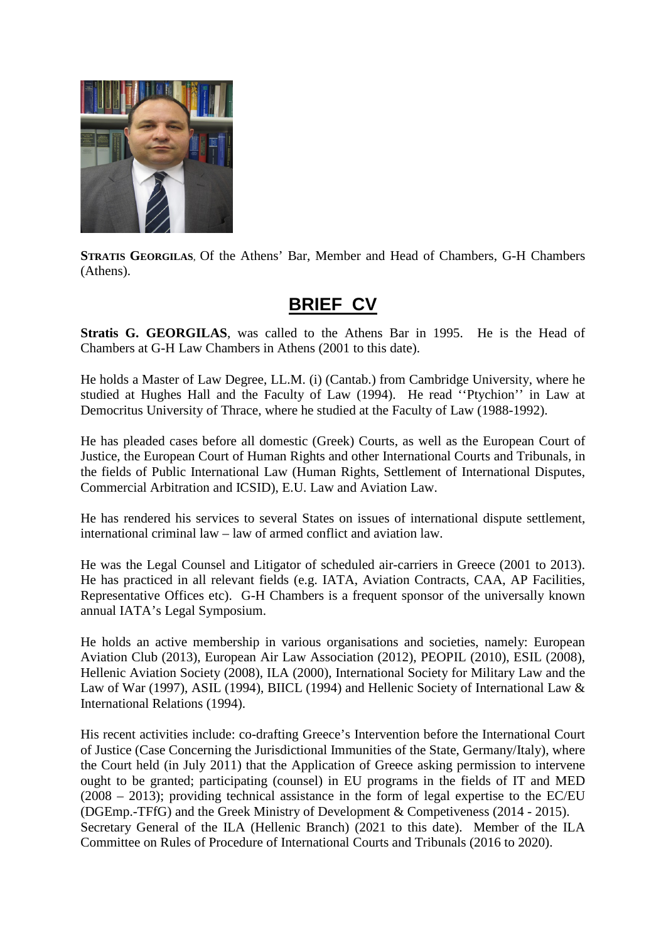

**STRATIS GEORGILAS**, Of the Athens' Bar, Member and Head of Chambers, G-H Chambers (Athens).

## **BRIEF CV**

**Stratis G. GEORGILAS**, was called to the Athens Bar in 1995. He is the Head of Chambers at G-H Law Chambers in Athens (2001 to this date).

He holds a Master of Law Degree, LL.M. (i) (Cantab.) from Cambridge University, where he studied at Hughes Hall and the Faculty of Law (1994). He read ''Ptychion'' in Law at Democritus University of Thrace, where he studied at the Faculty of Law (1988-1992).

He has pleaded cases before all domestic (Greek) Courts, as well as the European Court of Justice, the European Court of Human Rights and other International Courts and Tribunals, in the fields of Public International Law (Human Rights, Settlement of International Disputes, Commercial Arbitration and ICSID), E.U. Law and Aviation Law.

He has rendered his services to several States on issues of international dispute settlement, international criminal law – law of armed conflict and aviation law.

He was the Legal Counsel and Litigator of scheduled air-carriers in Greece (2001 to 2013). He has practiced in all relevant fields (e.g. IATA, Aviation Contracts, CAA, AP Facilities, Representative Offices etc). G-H Chambers is a frequent sponsor of the universally known annual IATA's Legal Symposium.

He holds an active membership in various organisations and societies, namely: European Aviation Club (2013), European Air Law Association (2012), PEOPIL (2010), ESIL (2008), Hellenic Aviation Society (2008), ILA (2000), International Society for Military Law and the Law of War (1997), ASIL (1994), BIICL (1994) and Hellenic Society of International Law & International Relations (1994).

His recent activities include: co-drafting Greece's Intervention before the International Court of Justice (Case Concerning the Jurisdictional Immunities of the State, Germany/Italy), where the Court held (in July 2011) that the Application of Greece asking permission to intervene ought to be granted; participating (counsel) in EU programs in the fields of IT and MED (2008 – 2013); providing technical assistance in the form of legal expertise to the EC/EU (DGEmp.-TFfG) and the Greek Ministry of Development & Competiveness (2014 - 2015). Secretary General of the ILA (Hellenic Branch) (2021 to this date). Member of the ILA Committee on Rules of Procedure of International Courts and Tribunals (2016 to 2020).